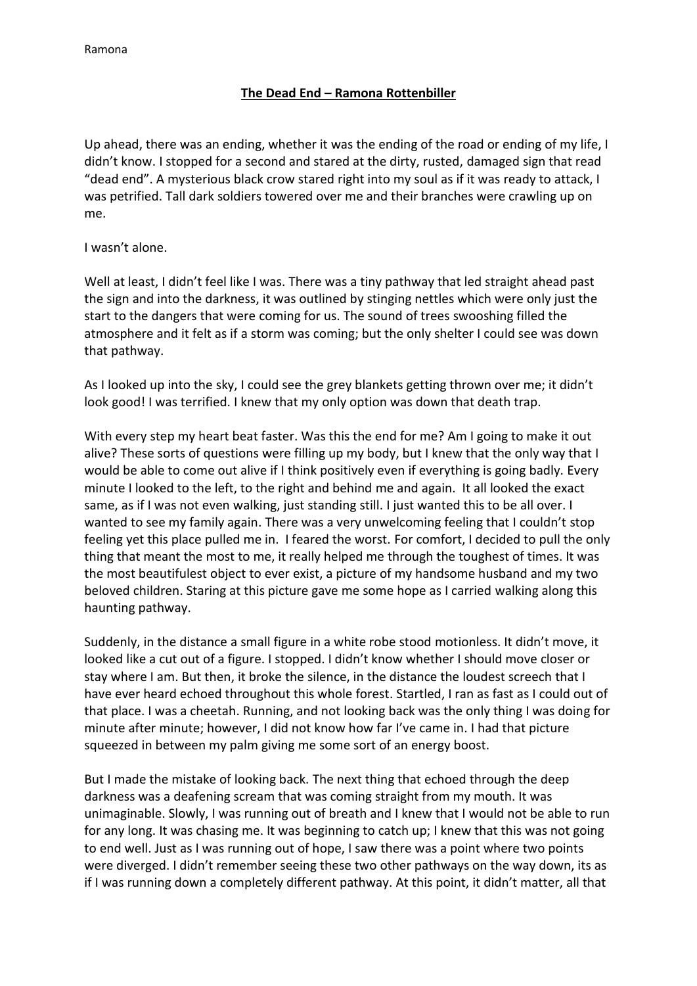## **The Dead End – Ramona Rottenbiller**

Up ahead, there was an ending, whether it was the ending of the road or ending of my life, I didn't know. I stopped for a second and stared at the dirty, rusted, damaged sign that read "dead end". A mysterious black crow stared right into my soul as if it was ready to attack, I was petrified. Tall dark soldiers towered over me and their branches were crawling up on me.

I wasn't alone.

Well at least, I didn't feel like I was. There was a tiny pathway that led straight ahead past the sign and into the darkness, it was outlined by stinging nettles which were only just the start to the dangers that were coming for us. The sound of trees swooshing filled the atmosphere and it felt as if a storm was coming; but the only shelter I could see was down that pathway.

As I looked up into the sky, I could see the grey blankets getting thrown over me; it didn't look good! I was terrified. I knew that my only option was down that death trap.

With every step my heart beat faster. Was this the end for me? Am I going to make it out alive? These sorts of questions were filling up my body, but I knew that the only way that I would be able to come out alive if I think positively even if everything is going badly. Every minute I looked to the left, to the right and behind me and again. It all looked the exact same, as if I was not even walking, just standing still. I just wanted this to be all over. I wanted to see my family again. There was a very unwelcoming feeling that I couldn't stop feeling yet this place pulled me in. I feared the worst. For comfort, I decided to pull the only thing that meant the most to me, it really helped me through the toughest of times. It was the most beautifulest object to ever exist, a picture of my handsome husband and my two beloved children. Staring at this picture gave me some hope as I carried walking along this haunting pathway.

Suddenly, in the distance a small figure in a white robe stood motionless. It didn't move, it looked like a cut out of a figure. I stopped. I didn't know whether I should move closer or stay where I am. But then, it broke the silence, in the distance the loudest screech that I have ever heard echoed throughout this whole forest. Startled, I ran as fast as I could out of that place. I was a cheetah. Running, and not looking back was the only thing I was doing for minute after minute; however, I did not know how far I've came in. I had that picture squeezed in between my palm giving me some sort of an energy boost.

But I made the mistake of looking back. The next thing that echoed through the deep darkness was a deafening scream that was coming straight from my mouth. It was unimaginable. Slowly, I was running out of breath and I knew that I would not be able to run for any long. It was chasing me. It was beginning to catch up; I knew that this was not going to end well. Just as I was running out of hope, I saw there was a point where two points were diverged. I didn't remember seeing these two other pathways on the way down, its as if I was running down a completely different pathway. At this point, it didn't matter, all that